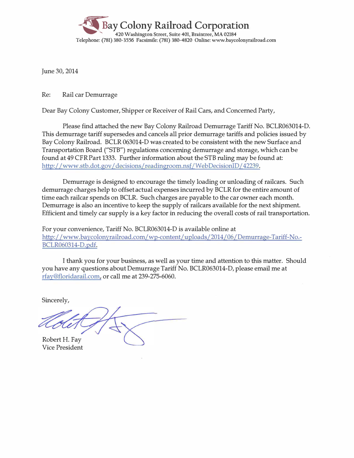

June 30, 2014

Re: Rail car Demurrage

Dear Bay Colony Customer, Shipper or Receiver of Rail Cars, and Concerned Party,

Please find attached the new Bay Colony Railroad Demurrage Tariff No. BCLR063014-D. This demurrage tariff supersedes and cancels all prior demurrage tariffs and policies issued by Bay Colony Railroad. BCLR 063014-D was created to be consistent with the new Surface and Transportation Board ("STB") regulations concerning demurrage and storage, which can be found at 49 CFR Part 1333. Further information about the STB ruling may be found at: http://www.stb.dot.gov/decisions/readingroom.nsf/WebDecisionID/42239.

Demurrage is designed to encourage the timely loading or unloading of railcars. Such demurrage charges help to offset actual expenses incurred by BCLR for the entire amount of time each railcar spends on BCLR. Such charges are payable to the car owner each month. Demurrage is also an incentive to keep the supply of railcars available for the next shipment. Efficient and timely car supply is a key factor in reducing the overall costs of rail transportation.

For your convenience, Tariff No. BCLR063014-D is available online at http://www.baycolonyrailroad.com/wp-content/uploads/2014/06/Demurrage-Tariff-No. BCLR060314-D.pdf.

I thank you for your business, as well as your time and attention to this matter. Should you have any questions about Demurrage Tariff No. BCLR063014-D, please email me at rfay@floridarail.com, or call me at 239-275-6060.

Sincerely,

Robert H. Fay

Vice President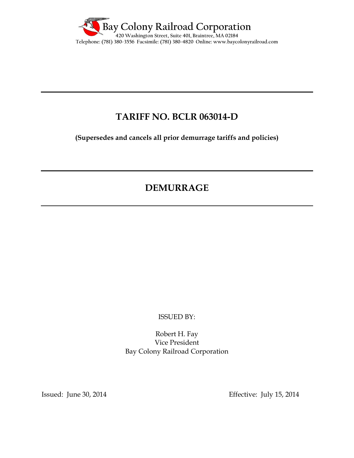

## **TARIFF NO. BCLR 063014-D**

**(Supersedes and cancels all prior demurrage tariffs and policies)** 

# **DEMURRAGE**

ISSUED BY:

Robert H. Fay Vice President Bay Colony Railroad Corporation

Issued: June 30, 2014 Effective: July 15, 2014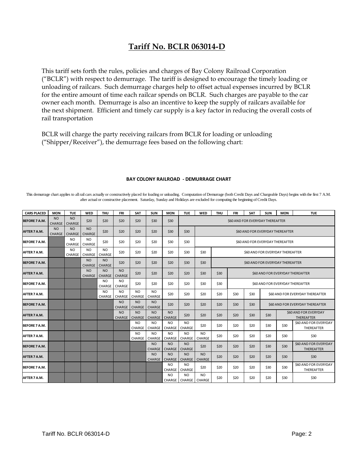## **Tariff No. BCLR 063014-D**

This tariff sets forth the rules, policies and charges of Bay Colony Railroad Corporation ("BCLR") with respect to demurrage. The tariff is designed to encourage the timely loading or unloading of railcars. Such demurrage charges help to offset actual expenses incurred by BCLR for the entire amount of time each railcar spends on BCLR. Such charges are payable to the car owner each month. Demurrage is also an incentive to keep the supply of railcars available for the next shipment. Efficient and timely car supply is a key factor in reducing the overall costs of rail transportation

BCLR will charge the party receiving railcars from BCLR for loading or unloading ("Shipper/Receiver"), the demurrage fees based on the following chart:

| <b>CARS PLACED</b>   | <b>MON</b>                      | <b>TUE</b>                 | <b>WED</b>                 | <b>THU</b>                 | FRI                             | <b>SAT</b>                 | <b>SUN</b>                 | <b>MON</b>                 | <b>TUE</b>                        | <b>WED</b>                 | <b>THU</b> | FRI                              | <b>SAT</b>                                                 | <b>SUN</b>                       | <b>MON</b> | <b>TUE</b>                          |  |
|----------------------|---------------------------------|----------------------------|----------------------------|----------------------------|---------------------------------|----------------------------|----------------------------|----------------------------|-----------------------------------|----------------------------|------------|----------------------------------|------------------------------------------------------------|----------------------------------|------------|-------------------------------------|--|
| <b>BEFORE 7 A.M.</b> | N <sub>O</sub><br><b>CHARGE</b> | <b>NO</b><br><b>CHARGE</b> | \$20                       | \$20                       | \$20                            | \$20                       | \$30                       | \$30                       |                                   |                            |            | \$60 AND FOR EVERYDAY THEREAFTER |                                                            |                                  |            |                                     |  |
| AFTER 7 A.M.         | <b>NO</b><br><b>CHARGE</b>      | <b>NO</b><br><b>CHARGE</b> | <b>NO</b><br><b>CHARGE</b> | \$20                       | \$20                            | \$20                       | \$20                       | \$30                       | \$30                              |                            |            | \$60 AND FOR EVERYDAY THEREAFTER |                                                            |                                  |            |                                     |  |
| BEFORE 7 A.M.        |                                 | <b>NO</b><br>CHARGE        | <b>NO</b><br>CHARGE        | \$20                       | \$20                            | \$20                       | \$20                       | \$30                       | \$30                              |                            |            | \$60 AND FOR EVERYDAY THEREAFTER |                                                            |                                  |            |                                     |  |
| AFTER 7 A.M.         |                                 | <b>NO</b><br>CHARGE        | <b>NO</b><br>CHARGE        | <b>NO</b><br>CHARGE        | \$20                            | \$20                       | \$20                       | \$20                       | \$30                              | \$30                       |            |                                  | \$60 AND FOR EVERYDAY THEREAFTER                           |                                  |            |                                     |  |
| <b>BEFORE 7 A.M.</b> |                                 |                            | <b>NO</b><br>CHARGE        | <b>NO</b><br><b>CHARGE</b> | \$20                            | \$20                       | \$20                       | \$20                       | \$30                              | \$30                       |            | \$60 AND FOR EVERYDAY THEREAFTER |                                                            |                                  |            |                                     |  |
| AFTER 7 A.M.         |                                 |                            | <b>NO</b><br><b>CHARGE</b> | <b>NO</b><br>CHARGE        | <b>NO</b><br><b>CHARGE</b>      | \$20                       | \$20                       | \$20                       | \$20                              | \$30                       | \$30       | \$60 AND FOR EVERYDAY THEREAFTER |                                                            |                                  |            |                                     |  |
| <b>BEFORE 7 A.M.</b> |                                 |                            |                            | NO.<br>CHARGE              | NO.<br>CHARGE                   | \$20                       | \$20                       | \$20                       | \$20                              | \$30                       | \$30       | \$60 AND FOR EVERYDAY THEREAFTER |                                                            |                                  |            |                                     |  |
| AFTER 7 A.M.         |                                 |                            |                            | <b>NO</b><br>CHARGE        | N <sub>O</sub><br><b>CHARGE</b> | N <sub>O</sub><br>CHARGE   | N <sub>O</sub><br>CHARGE   | \$20                       | \$20                              | \$20                       | \$20       | \$30                             | \$30                                                       | \$60 AND FOR EVERYDAY THEREAFTER |            |                                     |  |
| <b>BEFORE 7 A.M.</b> |                                 |                            |                            |                            | N <sub>O</sub><br><b>CHARGE</b> | <b>NO</b><br><b>CHARGE</b> | <b>NO</b><br><b>CHARGE</b> | \$20                       | \$20                              | \$20                       | \$20       | \$30                             | \$30<br>\$60 AND FOR EVERYDAY THEREAFTER                   |                                  |            |                                     |  |
| AFTER 7 A.M.         |                                 |                            |                            |                            | <b>NO</b><br><b>CHARGE</b>      | <b>NO</b><br><b>CHARGE</b> | <b>NO</b><br><b>CHARGE</b> | <b>NO</b><br><b>CHARGE</b> | \$20                              | \$20                       | \$20       | \$20                             | \$60 AND FOR EVERYDAY<br>\$30<br>\$30<br><b>THEREAFTER</b> |                                  |            |                                     |  |
| <b>BEFORE 7 A.M.</b> |                                 |                            |                            |                            |                                 | N <sub>O</sub><br>CHARGE   | NO.<br>CHARGE              | <b>NO</b><br>CHARGE        | <b>NO</b><br>CHARGE               | \$20                       | \$20       | \$20                             | \$20                                                       | \$30                             | \$30       | \$60 AND FOR EVERYDAY<br>THEREAFTER |  |
| AFTER 7 A.M.         |                                 |                            |                            |                            |                                 | N <sub>O</sub><br>CHARGE   | N <sub>O</sub><br>CHARGE   | <b>NO</b><br>CHARGE        | <b>NO</b><br>CHARGE               | <b>NO</b><br><b>CHARGE</b> | \$20       | \$20                             | \$20                                                       | \$20                             | \$30       | \$30                                |  |
| <b>BEFORE 7 A.M.</b> |                                 |                            |                            |                            |                                 |                            | <b>NO</b><br><b>CHARGE</b> | NO.<br>CHARGE              | <b>NO</b><br>CHARGE               | \$20                       | \$20       | \$20                             | \$20                                                       | \$30                             | \$30       | \$60 AND FOR EVERYDAY<br>THEREAFTER |  |
| AFTER 7 A.M.         |                                 |                            |                            |                            |                                 |                            | <b>NO</b><br><b>CHARGE</b> | NO.<br>CHARGE              | <b>NO</b><br>CHARGE               | <b>NO</b><br><b>CHARGE</b> | \$20       | \$20                             | \$20                                                       | \$20                             | \$30       | \$30                                |  |
| BEFORE 7 A.M.        |                                 |                            |                            |                            |                                 |                            |                            | <b>NO</b><br>CHARGE        | <b>NO</b><br>CHARGE               | \$20                       | \$20       | \$20                             | \$20                                                       | \$30                             | \$30       | \$60 AND FOR EVERYDAY<br>THEREAFTER |  |
| AFTER 7 A.M.         |                                 |                            |                            |                            |                                 |                            |                            | <b>NO</b>                  | <b>NO</b><br>CHARGE CHARGE CHARGE | NO.                        | \$20       | \$20                             | \$20                                                       | \$20                             | \$30       | \$30                                |  |

#### **BAY COLONY RAILROAD ‐ DEMURRAGE CHART**

This demurrage chart applies to all rail cars actually or constructively placed for loading or unloading. Computation of Demurrage (both Credit Days and Chargeable Days) begins with the first 7 A.M. after actual or constructive placement. Saturday, Sunday and Holidays are excluded for computing the beginning of Credit Days.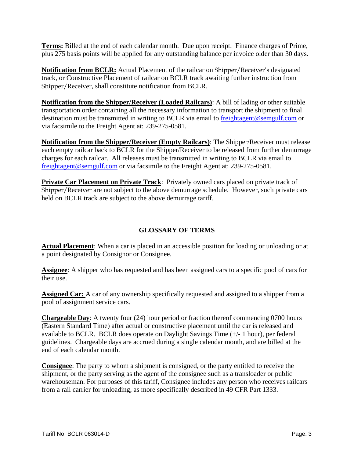**Terms:** Billed at the end of each calendar month. Due upon receipt. Finance charges of Prime, plus 275 basis points will be applied for any outstanding balance per invoice older than 30 days.

**Notification from BCLR:** Actual Placement of the railcar on Shipper/Receiver's designated track, or Constructive Placement of railcar on BCLR track awaiting further instruction from Shipper/Receiver, shall constitute notification from BCLR.

**Notification from the Shipper/Receiver (Loaded Railcars)**: A bill of lading or other suitable transportation order containing all the necessary information to transport the shipment to final destination must be transmitted in writing to BCLR via email to freightagent@semgulf.com or via facsimile to the Freight Agent at: 239-275-0581.

**Notification from the Shipper/Receiver (Empty Railcars)**: The Shipper/Receiver must release each empty railcar back to BCLR for the Shipper/Receiver to be released from further demurrage charges for each railcar. All releases must be transmitted in writing to BCLR via email to freightagent@semgulf.com or via facsimile to the Freight Agent at: 239-275-0581.

**Private Car Placement on Private Track**: Privately owned cars placed on private track of Shipper/Receiver are not subject to the above demurrage schedule. However, such private cars held on BCLR track are subject to the above demurrage tariff.

### **GLOSSARY OF TERMS**

**Actual Placement**: When a car is placed in an accessible position for loading or unloading or at a point designated by Consignor or Consignee.

**Assignee**: A shipper who has requested and has been assigned cars to a specific pool of cars for their use.

**Assigned Car:** A car of any ownership specifically requested and assigned to a shipper from a pool of assignment service cars.

**Chargeable Day**: A twenty four (24) hour period or fraction thereof commencing 0700 hours (Eastern Standard Time) after actual or constructive placement until the car is released and available to BCLR. BCLR does operate on Daylight Savings Time (+/- 1 hour), per federal guidelines. Chargeable days are accrued during a single calendar month, and are billed at the end of each calendar month.

**Consignee**: The party to whom a shipment is consigned, or the party entitled to receive the shipment, or the party serving as the agent of the consignee such as a transloader or public warehouseman. For purposes of this tariff, Consignee includes any person who receives railcars from a rail carrier for unloading, as more specifically described in 49 CFR Part 1333.